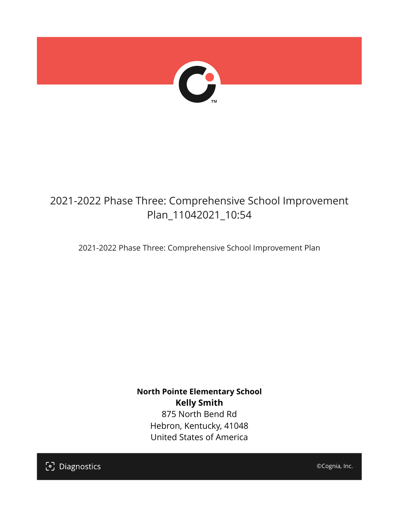

## 2021-2022 Phase Three: Comprehensive School Improvement Plan\_11042021\_10:54

2021-2022 Phase Three: Comprehensive School Improvement Plan

**North Pointe Elementary School Kelly Smith** 875 North Bend Rd Hebron, Kentucky, 41048 United States of America

[၁] Diagnostics

©Cognia, Inc.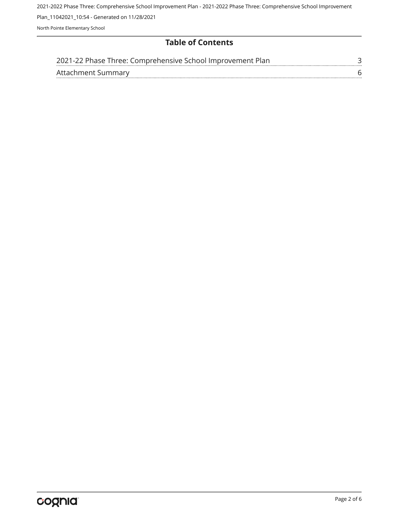2021-2022 Phase Three: Comprehensive School Improvement Plan - 2021-2022 Phase Three: Comprehensive School Improvement Plan\_11042021\_10:54 - Generated on 11/28/2021 North Pointe Elementary School

#### **Table of Contents**

| 2021-22 Phase Three: Comprehensive School Improvement Plan |  |
|------------------------------------------------------------|--|
| Attachment Summary                                         |  |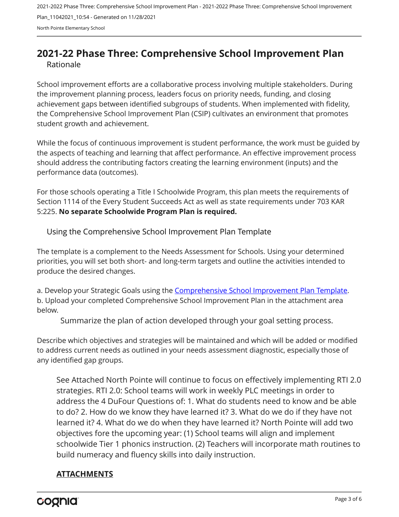2021-2022 Phase Three: Comprehensive School Improvement Plan - 2021-2022 Phase Three: Comprehensive School Improvement Plan\_11042021\_10:54 - Generated on 11/28/2021 North Pointe Elementary School

### <span id="page-2-0"></span>**2021-22 Phase Three: Comprehensive School Improvement Plan** Rationale

School improvement efforts are a collaborative process involving multiple stakeholders. During the improvement planning process, leaders focus on priority needs, funding, and closing achievement gaps between identified subgroups of students. When implemented with fidelity, the Comprehensive School Improvement Plan (CSIP) cultivates an environment that promotes student growth and achievement.

While the focus of continuous improvement is student performance, the work must be guided by the aspects of teaching and learning that affect performance. An effective improvement process should address the contributing factors creating the learning environment (inputs) and the performance data (outcomes).

For those schools operating a Title I Schoolwide Program, this plan meets the requirements of Section 1114 of the Every Student Succeeds Act as well as state requirements under 703 KAR 5:225. **No separate Schoolwide Program Plan is required.**

Using the Comprehensive School Improvement Plan Template

The template is a complement to the Needs Assessment for Schools. Using your determined priorities, you will set both short- and long-term targets and outline the activities intended to produce the desired changes.

a. Develop your Strategic Goals using the [Comprehensive School Improvement Plan Template](https://education.ky.gov/school/csip/Documents/KDE Comprehensive Improvement Plan for School.docx). b. Upload your completed Comprehensive School Improvement Plan in the attachment area below.

Summarize the plan of action developed through your goal setting process.

Describe which objectives and strategies will be maintained and which will be added or modified to address current needs as outlined in your needs assessment diagnostic, especially those of any identified gap groups.

See Attached North Pointe will continue to focus on effectively implementing RTI 2.0 strategies. RTI 2.0: School teams will work in weekly PLC meetings in order to address the 4 DuFour Questions of: 1. What do students need to know and be able to do? 2. How do we know they have learned it? 3. What do we do if they have not learned it? 4. What do we do when they have learned it? North Pointe will add two objectives fore the upcoming year: (1) School teams will align and implement schoolwide Tier 1 phonics instruction. (2) Teachers will incorporate math routines to build numeracy and fluency skills into daily instruction.

#### **ATTACHMENTS**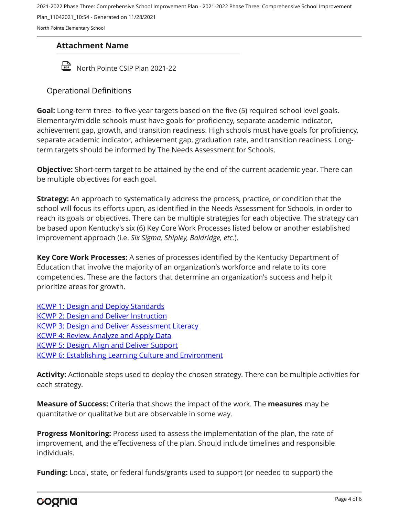2021-2022 Phase Three: Comprehensive School Improvement Plan - 2021-2022 Phase Three: Comprehensive School Improvement

Plan\_11042021\_10:54 - Generated on 11/28/2021

North Pointe Elementary School

#### **Attachment Name**

North Pointe CSIP Plan 2021-22

#### Operational Definitions

**Goal:** Long-term three- to five-year targets based on the five (5) required school level goals. Elementary/middle schools must have goals for proficiency, separate academic indicator, achievement gap, growth, and transition readiness. High schools must have goals for proficiency, separate academic indicator, achievement gap, graduation rate, and transition readiness. Longterm targets should be informed by The Needs Assessment for Schools.

**Objective:** Short-term target to be attained by the end of the current academic year. There can be multiple objectives for each goal.

**Strategy:** An approach to systematically address the process, practice, or condition that the school will focus its efforts upon, as identified in the Needs Assessment for Schools, in order to reach its goals or objectives. There can be multiple strategies for each objective. The strategy can be based upon Kentucky's six (6) Key Core Work Processes listed below or another established improvement approach (i.e. *Six Sigma, Shipley, Baldridge, etc.*).

**Key Core Work Processes:** A series of processes identified by the Kentucky Department of Education that involve the majority of an organization's workforce and relate to its core competencies. These are the factors that determine an organization's success and help it prioritize areas for growth.

[KCWP 1: Design and Deploy Standards](https://education.ky.gov/school/csip/Documents/KCWP%201%20Strategic%20Design%20and%20Deploy%20Standards.pdf) [KCWP 2: Design and Deliver Instruction](https://education.ky.gov/school/csip/Documents/KCWP%202%20Strategic%20Design%20and%20Deliver%20Instruction.pdf) [KCWP 3: Design and Deliver Assessment Literacy](https://education.ky.gov/school/csip/Documents/KCWP%203%20Strategic%20Design%20and%20Deliver%20Assessment%20Literacy.pdf) [KCWP 4: Review, Analyze and Apply Data](https://education.ky.gov/school/csip/Documents/KCWP%204%20Strategic%20Review%20Analyze%20and%20Apply%20Data.pdf) [KCWP 5: Design, Align and Deliver Support](https://education.ky.gov/school/csip/Documents/KCWP%205%20Strategic%20Design%20Align%20Deliver%20Support%20Processes.pdf) [KCWP 6: Establishing Learning Culture and Environment](https://education.ky.gov/school/csip/Documents/KCWP%206%20Strategic%20Establish%20Learning%20Culture%20and%20Environment.pdf)

**Activity:** Actionable steps used to deploy the chosen strategy. There can be multiple activities for each strategy.

**Measure of Success:** Criteria that shows the impact of the work. The **measures** may be quantitative or qualitative but are observable in some way.

**Progress Monitoring:** Process used to assess the implementation of the plan, the rate of improvement, and the effectiveness of the plan. Should include timelines and responsible individuals.

**Funding:** Local, state, or federal funds/grants used to support (or needed to support) the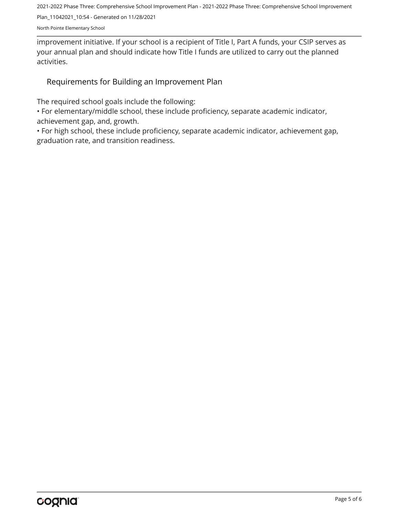2021-2022 Phase Three: Comprehensive School Improvement Plan - 2021-2022 Phase Three: Comprehensive School Improvement

Plan\_11042021\_10:54 - Generated on 11/28/2021

North Pointe Elementary School

improvement initiative. If your school is a recipient of Title I, Part A funds, your CSIP serves as your annual plan and should indicate how Title I funds are utilized to carry out the planned activities.

#### Requirements for Building an Improvement Plan

The required school goals include the following:

• For elementary/middle school, these include proficiency, separate academic indicator, achievement gap, and, growth.

• For high school, these include proficiency, separate academic indicator, achievement gap, graduation rate, and transition readiness.